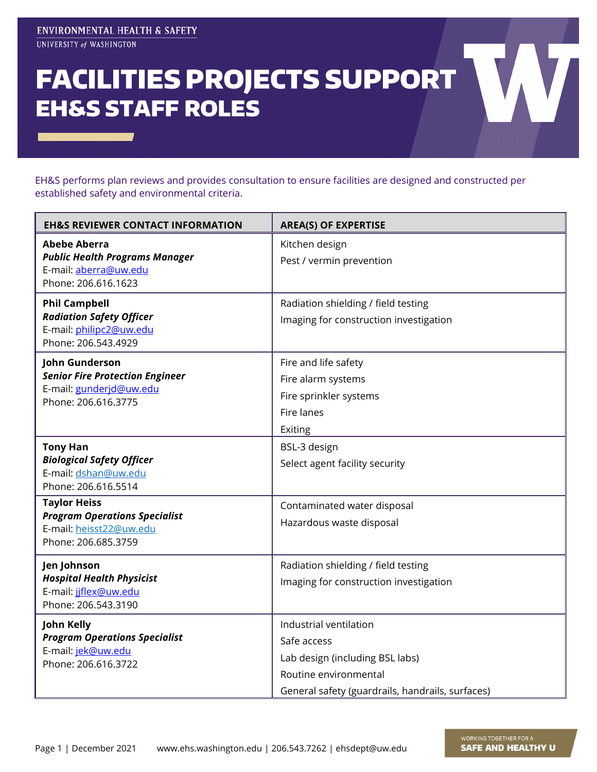## FACILITIES PROJECTS SUPPORT EH&S STAFF ROLES

EH&S performs plan reviews and provides consultation to ensure facilities are designed and constructed per established safety and environmental criteria.

| <b>EH&amp;S REVIEWER CONTACT INFORMATION</b>                                                                  | <b>AREA(S) OF EXPERTISE</b>                                                                                                                           |
|---------------------------------------------------------------------------------------------------------------|-------------------------------------------------------------------------------------------------------------------------------------------------------|
| <b>Abebe Aberra</b><br><b>Public Health Programs Manager</b><br>E-mail: aberra@uw.edu<br>Phone: 206.616.1623  | Kitchen design<br>Pest / vermin prevention                                                                                                            |
| <b>Phil Campbell</b><br><b>Radiation Safety Officer</b><br>E-mail: philipc2@uw.edu<br>Phone: 206.543.4929     | Radiation shielding / field testing<br>Imaging for construction investigation                                                                         |
| John Gunderson<br><b>Senior Fire Protection Engineer</b><br>E-mail: gunderjd@uw.edu<br>Phone: 206.616.3775    | Fire and life safety<br>Fire alarm systems<br>Fire sprinkler systems<br>Fire lanes<br>Exiting                                                         |
| <b>Tony Han</b><br><b>Biological Safety Officer</b><br>E-mail: dshan@uw.edu<br>Phone: 206.616.5514            | BSL-3 design<br>Select agent facility security                                                                                                        |
| <b>Taylor Heiss</b><br><b>Program Operations Specialist</b><br>E-mail: heisst22@uw.edu<br>Phone: 206.685.3759 | Contaminated water disposal<br>Hazardous waste disposal                                                                                               |
| Jen Johnson<br><b>Hospital Health Physicist</b><br>E-mail: jiflex@uw.edu<br>Phone: 206.543.3190               | Radiation shielding / field testing<br>Imaging for construction investigation                                                                         |
| <b>John Kelly</b><br><b>Program Operations Specialist</b><br>E-mail: jek@uw.edu<br>Phone: 206.616.3722        | Industrial ventilation<br>Safe access<br>Lab design (including BSL labs)<br>Routine environmental<br>General safety (guardrails, handrails, surfaces) |